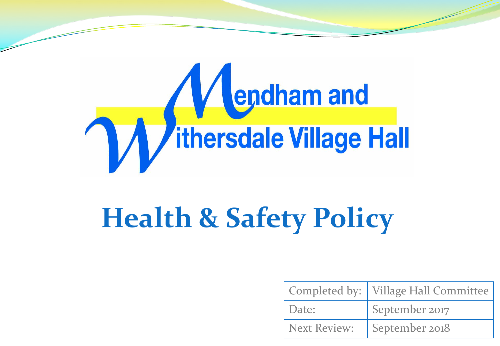

# **Health & Safety Policy**

|                     | Completed by:   Village Hall Committee |
|---------------------|----------------------------------------|
| Date:               | September 2017                         |
| <b>Next Review:</b> | September 2018                         |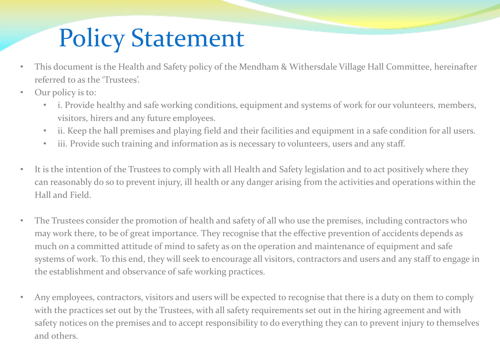## Policy Statement

- This document is the Health and Safety policy of the Mendham & Withersdale Village Hall Committee, hereinafter referred to as the 'Trustees'.
- Our policy is to:
	- i. Provide healthy and safe working conditions, equipment and systems of work for our volunteers, members, visitors, hirers and any future employees.
	- ii. Keep the hall premises and playing field and their facilities and equipment in a safe condition for all users.
	- iii. Provide such training and information as is necessary to volunteers, users and any staff.
- It is the intention of the Trustees to comply with all Health and Safety legislation and to act positively where they can reasonably do so to prevent injury, ill health or any danger arising from the activities and operations within the Hall and Field.
- The Trustees consider the promotion of health and safety of all who use the premises, including contractors who may work there, to be of great importance. They recognise that the effective prevention of accidents depends as much on a committed attitude of mind to safety as on the operation and maintenance of equipment and safe systems of work. To this end, they will seek to encourage all visitors, contractors and users and any staff to engage in the establishment and observance of safe working practices.
- Any employees, contractors, visitors and users will be expected to recognise that there is a duty on them to comply with the practices set out by the Trustees, with all safety requirements set out in the hiring agreement and with safety notices on the premises and to accept responsibility to do everything they can to prevent injury to themselves and others.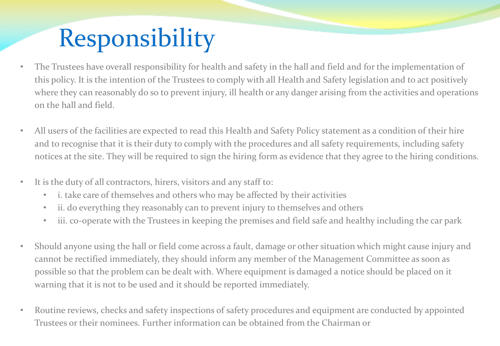# Responsibility

- The Trustees have overall responsibility for health and safety in the hall and field and for the implementation of this policy. It is the intention of the Trustees to comply with all Health and Safety legislation and to act positively where they can reasonably do so to prevent injury, ill health or any danger arising from the activities and operations on the hall and field.
- All users of the facilities are expected to read this Health and Safety Policy statement as a condition of their hire and to recognise that it is their duty to comply with the procedures and all safety requirements, including safety notices at the site. They will be required to sign the hiring form as evidence that they agree to the hiring conditions.
- It is the duty of all contractors, hirers, visitors and any staff to:
	- i. take care of themselves and others who may be affected by their activities
	- ii. do everything they reasonably can to prevent injury to themselves and others
	- iii. co-operate with the Trustees in keeping the premises and field safe and healthy including the car park
- Should anyone using the hall or field come across a fault, damage or other situation which might cause injury and cannot be rectified immediately, they should inform any member of the Management Committee as soon as possible so that the problem can be dealt with. Where equipment is damaged a notice should be placed on it warning that it is not to be used and it should be reported immediately.
- Routine reviews, checks and safety inspections of safety procedures and equipment are conducted by appointed Trustees or their nominees. Further information can be obtained from the Chairman or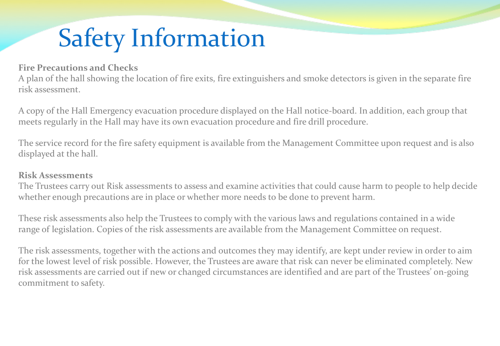## Safety Information

#### **Fire Precautions and Checks**

A plan of the hall showing the location of fire exits, fire extinguishers and smoke detectors is given in the separate fire risk assessment.

A copy of the Hall Emergency evacuation procedure displayed on the Hall notice-board. In addition, each group that meets regularly in the Hall may have its own evacuation procedure and fire drill procedure.

The service record for the fire safety equipment is available from the Management Committee upon request and is also displayed at the hall.

#### **Risk Assessments**

The Trustees carry out Risk assessments to assess and examine activities that could cause harm to people to help decide whether enough precautions are in place or whether more needs to be done to prevent harm.

These risk assessments also help the Trustees to comply with the various laws and regulations contained in a wide range of legislation. Copies of the risk assessments are available from the Management Committee on request.

The risk assessments, together with the actions and outcomes they may identify, are kept under review in order to aim for the lowest level of risk possible. However, the Trustees are aware that risk can never be eliminated completely. New risk assessments are carried out if new or changed circumstances are identified and are part of the Trustees' on-going commitment to safety.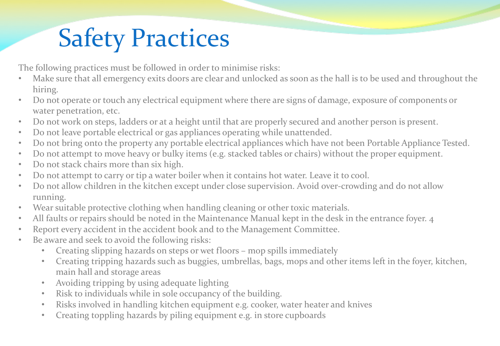## Safety Practices

The following practices must be followed in order to minimise risks:

- Make sure that all emergency exits doors are clear and unlocked as soon as the hall is to be used and throughout the hiring.
- Do not operate or touch any electrical equipment where there are signs of damage, exposure of components or water penetration, etc.
- Do not work on steps, ladders or at a height until that are properly secured and another person is present.
- Do not leave portable electrical or gas appliances operating while unattended.
- Do not bring onto the property any portable electrical appliances which have not been Portable Appliance Tested.
- Do not attempt to move heavy or bulky items (e.g. stacked tables or chairs) without the proper equipment.
- Do not stack chairs more than six high.
- Do not attempt to carry or tip a water boiler when it contains hot water. Leave it to cool.
- Do not allow children in the kitchen except under close supervision. Avoid over-crowding and do not allow running.
- Wear suitable protective clothing when handling cleaning or other toxic materials.
- All faults or repairs should be noted in the Maintenance Manual kept in the desk in the entrance foyer. 4
- Report every accident in the accident book and to the Management Committee.
- Be aware and seek to avoid the following risks:
	- Creating slipping hazards on steps or wet floors mop spills immediately
	- Creating tripping hazards such as buggies, umbrellas, bags, mops and other items left in the foyer, kitchen, main hall and storage areas
	- Avoiding tripping by using adequate lighting
	- Risk to individuals while in sole occupancy of the building.
	- Risks involved in handling kitchen equipment e.g. cooker, water heater and knives
	- Creating toppling hazards by piling equipment e.g. in store cupboards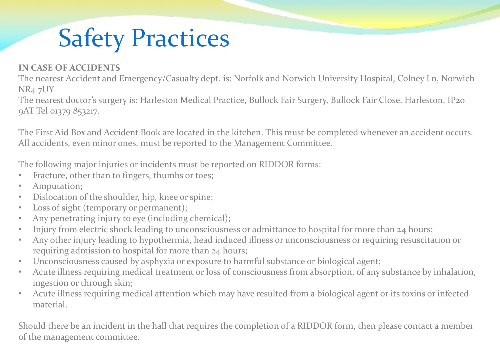## Safety Practices

#### **IN CASE OF ACCIDENTS**

The nearest Accident and Emergency/Casualty dept. is: Norfolk and Norwich University Hospital, Colney Ln, Norwich NR4 7UY

The nearest doctor's surgery is: Harleston Medical Practice, Bullock Fair Surgery, Bullock Fair Close, Harleston, IP20 9AT Tel 01379 853217.

The First Aid Box and Accident Book are located in the kitchen. This must be completed whenever an accident occurs. All accidents, even minor ones, must be reported to the Management Committee.

The following major injuries or incidents must be reported on RIDDOR forms:

- Fracture, other than to fingers, thumbs or toes;
- Amputation;
- Dislocation of the shoulder, hip, knee or spine;
- Loss of sight (temporary or permanent);
- Any penetrating injury to eye (including chemical);
- Injury from electric shock leading to unconsciousness or admittance to hospital for more than 24 hours;
- Any other injury leading to hypothermia, head induced illness or unconsciousness or requiring resuscitation or requiring admission to hospital for more than 24 hours;
- Unconsciousness caused by asphyxia or exposure to harmful substance or biological agent;
- Acute illness requiring medical treatment or loss of consciousness from absorption, of any substance by inhalation, ingestion or through skin;
- Acute illness requiring medical attention which may have resulted from a biological agent or its toxins or infected material.

Should there be an incident in the hall that requires the completion of a RIDDOR form, then please contact a member of the management committee.